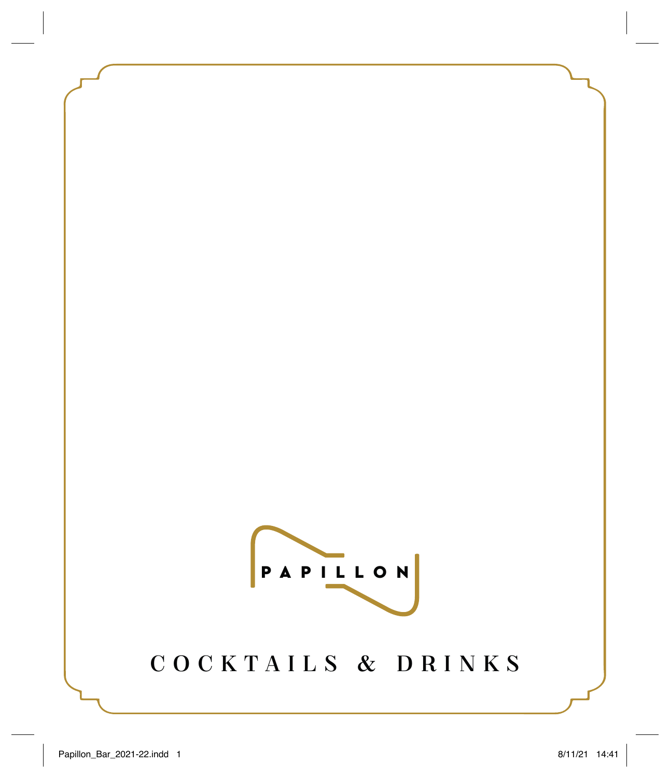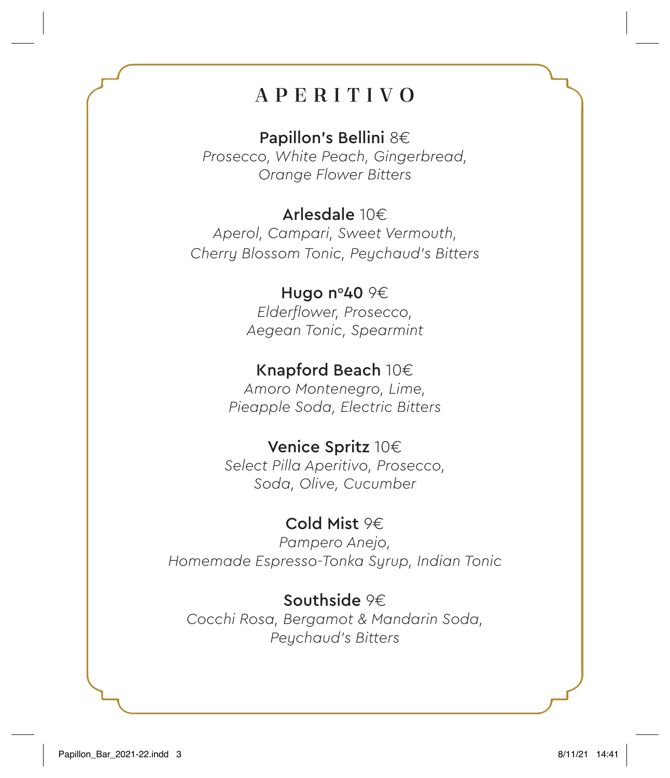# APERITIVO

Papillon's Bellini 8€

*Prosecco, White Peach, Gingerbread, Orange Flower Bitters*

# Arlesdale 10€

*Aperol, Campari, Sweet Vermouth, Cherry Blossom Tonic, Peychaud's Bitters*

# Hugo n°40 9€

*Elderflower, Prosecco, Aegean Tonic, Spearmint*

# Knapford Beach 10€

*Amoro Montenegro, Lime, Pieapple Soda, Electric Bitters*

### Venice Spritz 10€

*Select Pilla Aperitivo, Prosecco, Soda, Olive, Cucumber*

# Cold Mist 9€

*Pampero Anejo, Homemade Espresso-Tonka Syrup, Indian Tonic*

### Southside 9€

*Cocchi Rosa, Bergamot & Mandarin Soda, Peychaud's Bitters*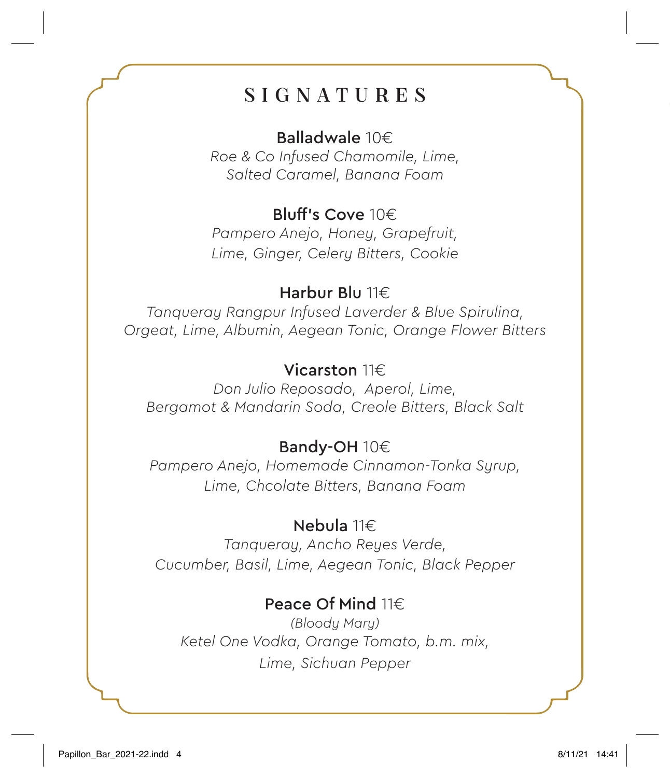# SIGNATURES

### Balladwale 10€

*Roe & Co Infused Chamomile, Lime, Salted Caramel, Banana Foam*

# Bluff's Cove 10€

*Pampero Anejo, Honey, Grapefruit, Lime, Ginger, Celery Bitters, Cookie*

### Harbur Blu 11€

*Tanqueray Rangpur Infused Laverder & Blue Spirulina, Orgeat, Lime, Albumin, Aegean Tonic, Orange Flower Bitters*

# Vicarston 11€

*Don Julio Reposado, Aperol, Lime, Bergamot & Mandarin Soda, Creole Bitters, Black Salt*

### Bandy-OH 10€

*Pampero Anejo, Homemade Cinnamon-Tonka Syrup, Lime, Chcolate Bitters, Banana Foam*

### Nebula 11€

*Tanqueray, Ancho Reyes Verde, Cucumber, Basil, Lime, Aegean Tonic, Black Pepper*

# Peace Of Mind 11€

*(Bloody Mary) Ketel One Vodka, Orange Tomato, b.m. mix, Lime, Sichuan Pepper*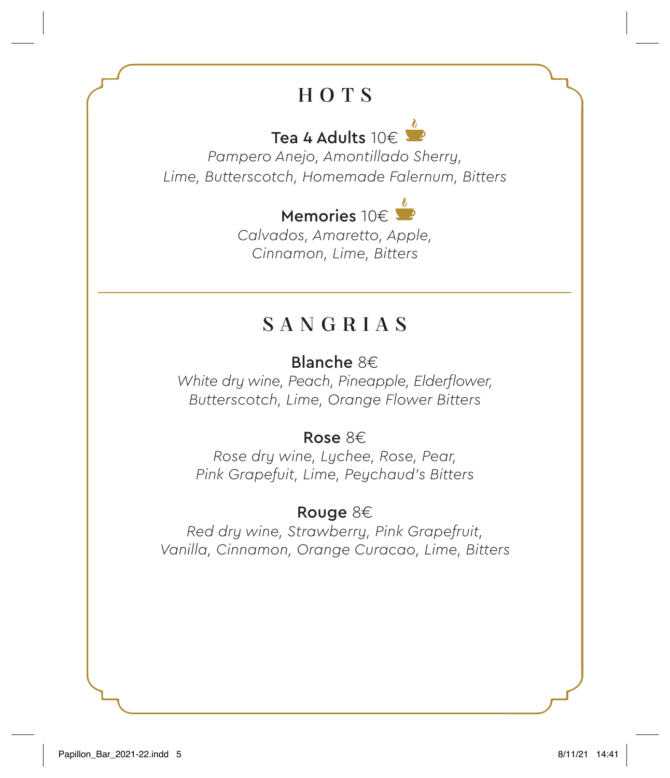# HOTS

# Tea 4 Adults  $10 \in \mathbb{Z}$

*Pampero Anejo, Amontillado Sherry, Lime, Butterscotch, Homemade Falernum, Bitters*

# Memories 10€

*Calvados, Amaretto, Apple, Cinnamon, Lime, Bitters*

# SANGRIAS

# Blanche 8€

*White dry wine, Peach, Pineapple, Elderflower, Butterscotch, Lime, Orange Flower Bitters*

# Rose 8€

*Rose dry wine, Lychee, Rose, Pear, Pink Grapefuit, Lime, Peychaud's Bitters*

# Rouge 8€

*Red dry wine, Strawberry, Pink Grapefruit, Vanilla, Cinnamon, Orange Curacao, Lime, Bitters*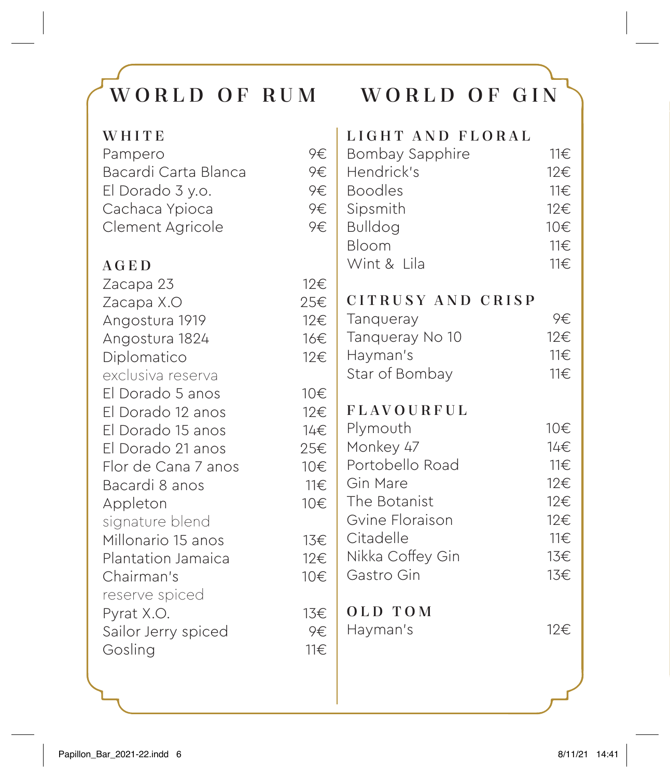# WORLD OF RUM WORLD OF GIN

| WHITE                |     | LIGHT AND FLORAL  |          |
|----------------------|-----|-------------------|----------|
| Pampero              | 9€  | Bombay Sapphire   | 11€      |
| Bacardi Carta Blanca | 9€  | Hendrick's        | 12€      |
| El Dorado 3 y.o.     | 9€  | <b>Boodles</b>    | $11 \in$ |
| Cachaca Ypioca       | 9€  | Sipsmith          | 12€      |
| Clement Agricole     | 9€  | <b>Bulldog</b>    | 10€      |
|                      |     | Bloom             | 11€      |
| AGED                 |     | Wint & Lila       | 11€      |
| Zacapa 23            | 12€ |                   |          |
| Zacapa X.O           | 25€ | CITRUSY AND CRISP |          |
| Angostura 1919       | 12€ | Tangueray         | 9€       |
| Angostura 1824       | 16€ | Tanqueray No 10   | 12€      |
| Diplomatico          | 12€ | Hayman's          | 11€      |
| exclusiva reserva    |     | Star of Bombay    | 11€      |
| El Dorado 5 anos     | 10€ |                   |          |
| El Dorado 12 anos    | 12€ | <b>FLAVOURFUL</b> |          |
| El Dorado 15 anos    | 14€ | Plymouth          | 10€      |
| El Dorado 21 anos    | 25€ | Monkey 47         | 14€      |
| Flor de Cana 7 anos  | 10€ | Portobello Road   | $11 \in$ |
| Bacardi 8 anos       | 11€ | Gin Mare          | 12€      |
| Appleton             | 10€ | The Botanist      | 12€      |
| signature blend      |     | Gvine Floraison   | 12€      |
| Millonario 15 anos   | 13€ | Citadelle         | 11€      |
| Plantation Jamaica   | 12€ | Nikka Coffey Gin  | 13€      |
| Chairman's           | 10€ | Gastro Gin        | 13€      |
| reserve spiced       |     |                   |          |
| Pyrat X.O.           | 13€ | OLD TOM           |          |
| Sailor Jerry spiced  | 9€  | Hayman's          | 12€      |
| Gosling              | 11€ |                   |          |
|                      |     |                   |          |
|                      |     |                   |          |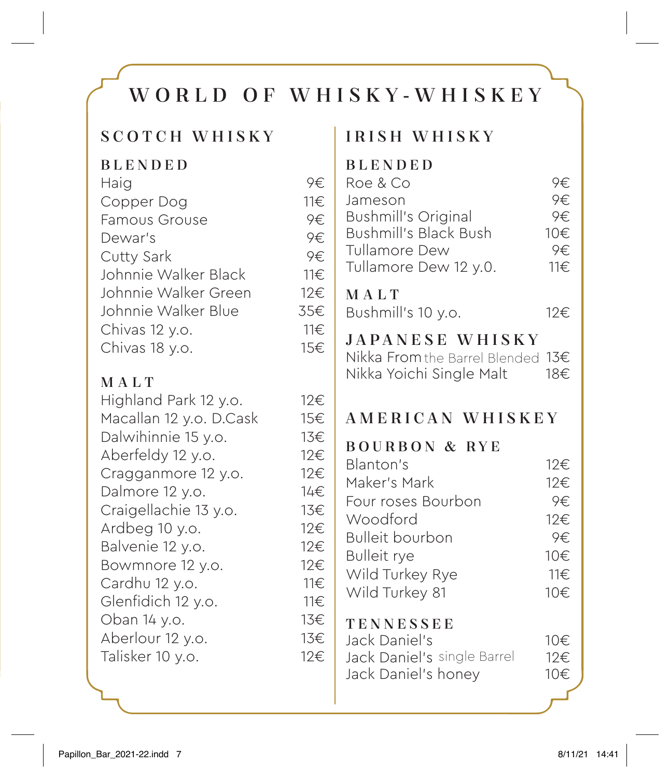# WORLD OF WHISKY-WHISKEY

### SCOTCH WHISKY

| <b>BLENDED</b>       |     |
|----------------------|-----|
| Haig                 | 9€  |
| Copper Dog           | 11€ |
| <b>Famous Grouse</b> | 9€  |
| Dewar's              | 9€  |
| Cutty Sark           | 9€  |
| Johnnie Walker Black | 11€ |
| Johnnie Walker Green | 12€ |
| Johnnie Walker Blue  | 35€ |
| Chivas 12 y.o.       | 11€ |
| Chivas 18 y.o.       | 15€ |
|                      |     |

# MALT

| Highland Park 12 y.o.   | 12€ |
|-------------------------|-----|
| Macallan 12 y.o. D.Cask | 15€ |
| Dalwihinnie 15 y.o.     | 13€ |
| Aberfeldy 12 y.o.       | 12€ |
| Cragganmore 12 y.o.     | 12€ |
| Dalmore 12 y.o.         | 14€ |
| Craigellachie 13 y.o.   | 13€ |
| Ardbeg 10 y.o.          | 12€ |
| Balvenie 12 y.o.        | 12€ |
| Bowmnore 12 y.o.        | 12€ |
| Cardhu 12 y.o.          | 11€ |
| Glenfidich 12 y.o.      | 11€ |
| Oban 14 y.o.            | 13€ |
| Aberlour 12 y.o.        | 13€ |
| Talisker 10 y.o.        | 12€ |
|                         |     |

# IRISH WHISKY

### BLENDED

| Roe & Co                     | 9€   |
|------------------------------|------|
| Jameson                      | 9€   |
| <b>Bushmill's Original</b>   | 9€.  |
| <b>Bushmill's Black Bush</b> | 10€. |
| Tullamore Dew                | 9€   |
| Tullamore Dew 12 y.0.        | 11€. |
|                              |      |

### MALT

Bushmill's 10 y.o.  $12 \in$ 

# JAPANESE WHISKY

Nikka From the Barrel Blended  $13€$ Nikka Yoichi Single Malt 18€

# AMERICAN WHISKEY

### BOURBON & RYE

Blanton's 12€ Maker's Mark 12€ Four roses Bourbon 9€ Woodford 12€ Bulleit bourbon 9€ Bulleit rye 10€ Wild Turkey Rye 11€ Wild Turkey 81 10€

# **TENNESSEE**

| Jack Daniel's               | 10€ |
|-----------------------------|-----|
| Jack Daniel's single Barrel | 12€ |
| Jack Daniel's honey         | 10€ |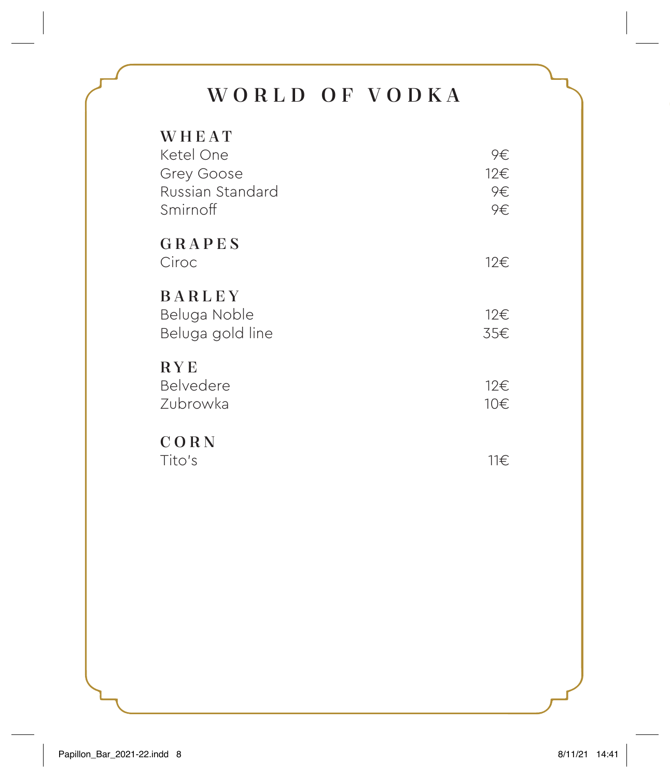# WORLD OF VODKA

| WHEAT<br>Ketel One<br>Grey Goose<br>Russian Standard<br>Smirnoff | 9€<br>12€<br>9€<br>9€. |
|------------------------------------------------------------------|------------------------|
| GRAPES<br>Ciroc                                                  | 12€                    |
| <b>BARLEY</b><br>Beluga Noble<br>Beluga gold line                | 12€<br>35€             |
| <b>RYE</b><br>Belvedere<br>Zubrowka                              | 12€<br>10€             |
| CORN<br>Tito's                                                   | 11€                    |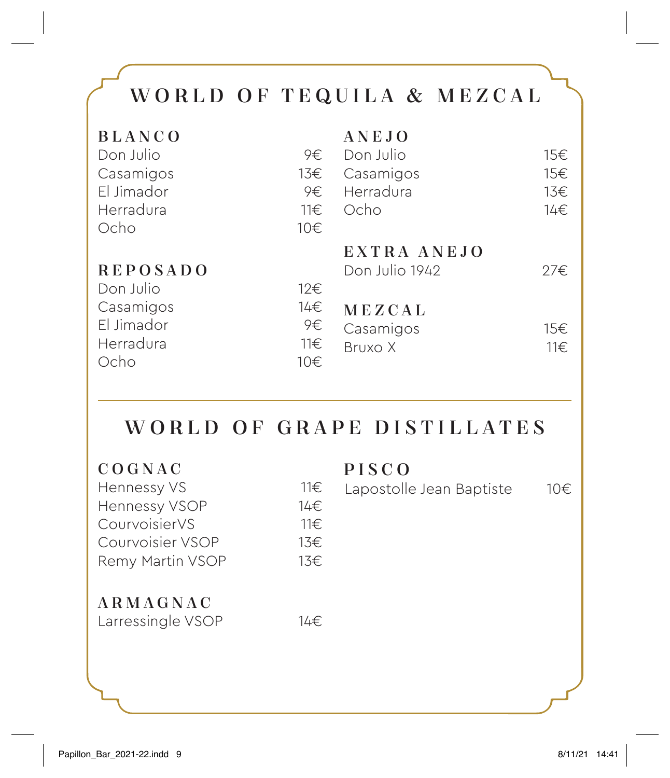# WORLD OF TEQUILA & MEZCAL

| <b>BLANCO</b>   |          | ANEJO          |          |
|-----------------|----------|----------------|----------|
| Don Julio       | 9€.      | Don Julio      | 15€      |
| Casamigos       | 13€      | Casamigos      | 15€      |
| El Jimador      | 9€       | Herradura      | 13€      |
| Herradura       | $11 \in$ | Ocho           | 14€      |
| Ocho            | 10€      |                |          |
|                 |          | EXTRA ANEJO    |          |
| <b>REPOSADO</b> |          | Don Julio 1942 | 27€.     |
| Don Julio       | 12€      |                |          |
| Casamigos       | 14€      | MEZCAL         |          |
| El Jimador      | 9€       | Casamigos      | 15€      |
| Herradura       | 11€      | Bruxo X        | $11 \in$ |
| Ocho            | 10€      |                |          |

# WORLD OF GRAPE DISTILLATES

| COGNAC            |     | PISCO                    |     |
|-------------------|-----|--------------------------|-----|
| Hennessy VS       | 11€ | Lapostolle Jean Baptiste | 10€ |
| Hennessy VSOP     | 14€ |                          |     |
| CourvoisierVS     | 11€ |                          |     |
| Courvoisier VSOP  | 13€ |                          |     |
| Remy Martin VSOP  | 13€ |                          |     |
| ARMAGNAC          |     |                          |     |
| Larressingle VSOP | 14€ |                          |     |
|                   |     |                          |     |
|                   |     |                          |     |
|                   |     |                          |     |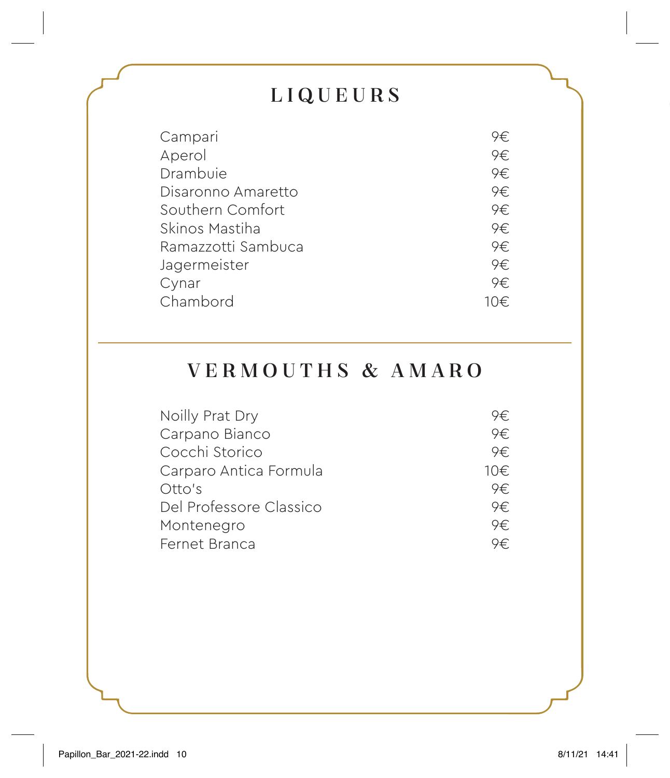# LIQUEURS

| Campari            | 9€   |
|--------------------|------|
| Aperol             | 9€   |
| Drambuie           | 9€   |
| Disaronno Amaretto | 9€   |
| Southern Comfort   | 9€   |
| Skinos Mastiha     | 9€   |
| Ramazzotti Sambuca | 9€   |
| Jagermeister       | 9€   |
| Cynar              | 9€.  |
| Chambord           | 10€. |

# VERMOUTHS & AMARO

| Noilly Prat Dry         | 9€.  |
|-------------------------|------|
| Carpano Bianco          | 9€   |
| Cocchi Storico          | 9€.  |
| Carparo Antica Formula  | 10€. |
| Otto's                  | 9€.  |
| Del Professore Classico | 9€.  |
| Montenegro              | 9€.  |
| Fernet Branca           | 9€   |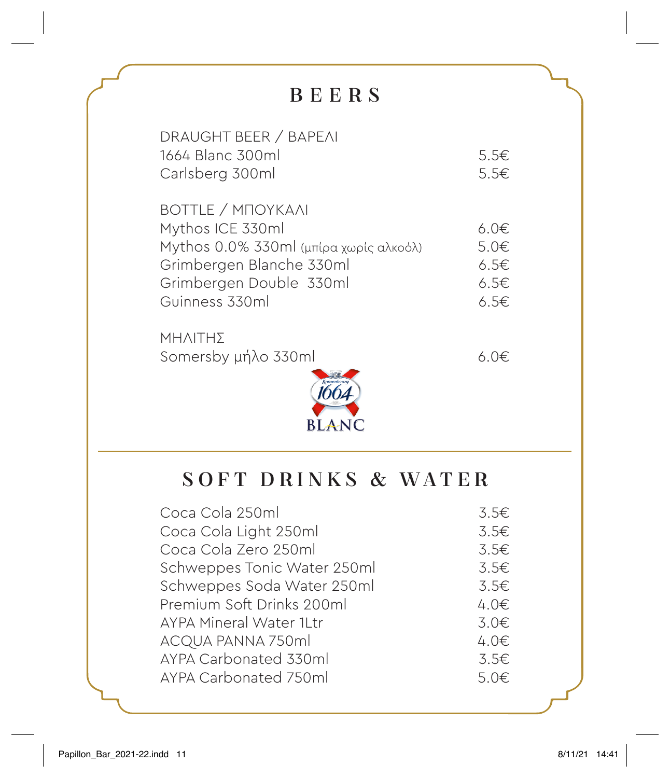# BEERS

| DRAUGHT BEER / BAPEAI                  |              |
|----------------------------------------|--------------|
| 1664 Blanc 300ml                       | $5.5 \in$    |
| Carlsberg 300ml                        | $5.5 \in$    |
|                                        |              |
| <b>BOTTLE / MNOYKAAI</b>               |              |
| Mythos ICE 330ml                       | 6.0 $\notin$ |
| Mythos 0.0% 330ml (μπίρα χωρίς αλκοόλ) | 5.0€         |
| Grimbergen Blanche 330ml               | 6.5E         |
| Grimbergen Double 330ml                | 6.5€         |
| Guinness 330ml                         | 6.5€         |
|                                        |              |

ΜΗΛΙΤΗΣ Somersby μήλο 330ml 6.0€



# SOFT DRINKS & WATER

| Coca Cola 250ml                | 3.5E      |
|--------------------------------|-----------|
| Coca Cola Light 250ml          | 3.5€      |
| Coca Cola Zero 250ml           | 3.5E      |
| Schweppes Tonic Water 250ml    | 3.5E      |
| Schweppes Soda Water 250ml     | 3.5E      |
| Premium Soft Drinks 200ml      | $4.0 \in$ |
| <b>AYPA Mineral Water 1Ltr</b> | 3.0€      |
| ACQUA PANNA 750ml              | $4.0 \in$ |
| AYPA Carbonated 330ml          | 3.5E      |
| AYPA Carbonated 750ml          | 5.0€      |
|                                |           |